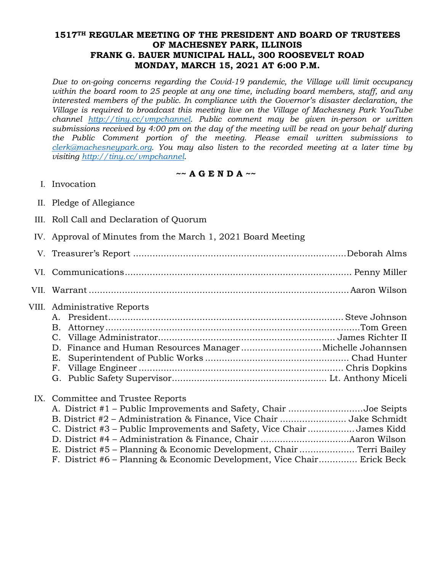#### **1517TH REGULAR MEETING OF THE PRESIDENT AND BOARD OF TRUSTEES OF MACHESNEY PARK, ILLINOIS FRANK G. BAUER MUNICIPAL HALL, 300 ROOSEVELT ROAD MONDAY, MARCH 15, 2021 AT 6:00 P.M.**

*Due to on-going concerns regarding the Covid-19 pandemic, the Village will limit occupancy within the board room to 25 people at any one time, including board members, staff, and any interested members of the public. In compliance with the Governor's disaster declaration, the Village is required to broadcast this meeting live on the Village of Machesney Park YouTube [channel](mailto:clerk@machesneypark.org) [http://tiny.cc/vmpchannel.](http://tiny.cc/vmpchannel) Public comment may be given in-person or written submissions received by 4:00 pm on the day of the meeting will be read on your behalf during the Public Comment portion of the meeting. Please email written submissions to clerk@machesneypark.org. You may also listen to the recorded meeting at a later time by visiting [http://tiny.cc/vmpchannel.](http://tiny.cc/vmpchannel)* 

#### **~~ A G E N D A ~~**

- I. Invocation
- II. Pledge of Allegiance
- III. Roll Call and Declaration of Quorum
- IV. Approval of Minutes from the March 1, 2021 Board Meeting
- V. Treasurer's Report ............................................................................. Deborah Alms
- VI. Communications .................................................................................. Penny Miller
- VII. Warrant .............................................................................................. Aaron Wilson

# VIII. Administrative Reports

| D. Finance and Human Resources ManagerMichelle Johannsen |  |
|----------------------------------------------------------|--|
|                                                          |  |
|                                                          |  |
|                                                          |  |

# IX. Committee and Trustee Reports

| A. District #1 – Public Improvements and Safety, Chair Joe Seipts       |  |
|-------------------------------------------------------------------------|--|
|                                                                         |  |
| C. District #3 – Public Improvements and Safety, Vice ChairJames Kidd   |  |
|                                                                         |  |
| E. District #5 – Planning & Economic Development, Chair  Terri Bailey   |  |
| F. District #6 – Planning & Economic Development, Vice Chair Erick Beck |  |